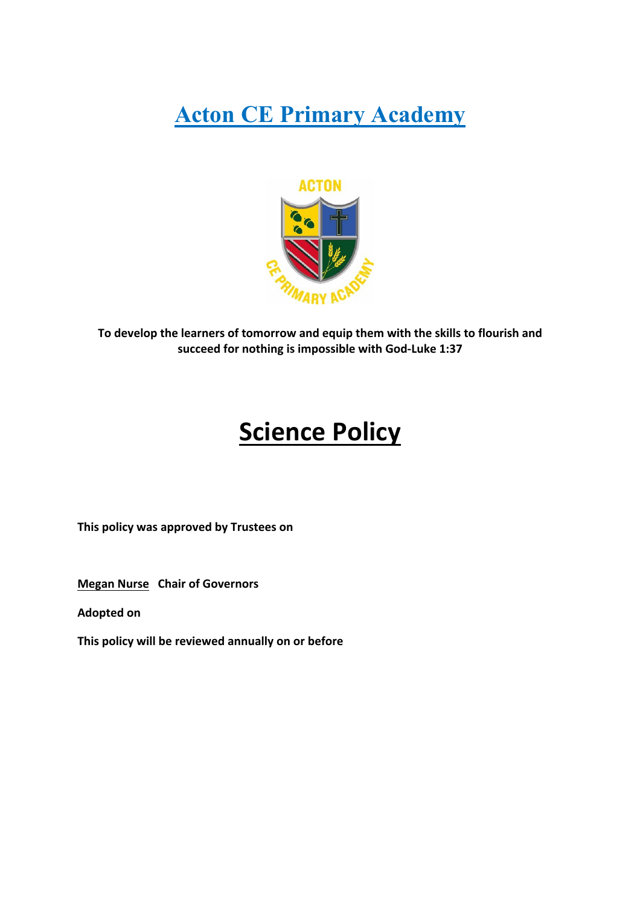# **Acton CE Primary Academy**



**To develop the learners of tomorrow and equip them with the skills to flourish and succeed for nothing is impossible with God-Luke 1:37**

# **Science Policy**

**This policy was approved by Trustees on** 

**Megan Nurse Chair of Governors**

**Adopted on** 

**This policy will be reviewed annually on or before**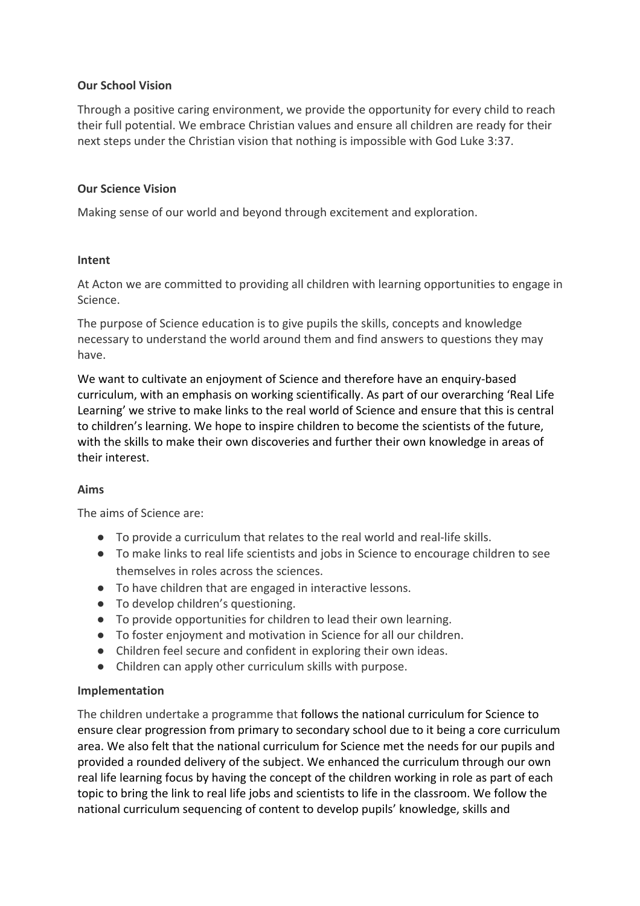# **Our School Vision**

Through a positive caring environment, we provide the opportunity for every child to reach their full potential. We embrace Christian values and ensure all children are ready for their next steps under the Christian vision that nothing is impossible with God Luke 3:37.

#### **Our Science Vision**

Making sense of our world and beyond through excitement and exploration.

#### **Intent**

At Acton we are committed to providing all children with learning opportunities to engage in Science.

The purpose of Science education is to give pupils the skills, concepts and knowledge necessary to understand the world around them and find answers to questions they may have.

We want to cultivate an enjoyment of Science and therefore have an enquiry-based curriculum, with an emphasis on working scientifically. As part of our overarching 'Real Life Learning' we strive to make links to the real world of Science and ensure that this is central to children's learning. We hope to inspire children to become the scientists of the future, with the skills to make their own discoveries and further their own knowledge in areas of their interest.

#### **Aims**

The aims of Science are:

- To provide a curriculum that relates to the real world and real-life skills.
- To make links to real life scientists and jobs in Science to encourage children to see themselves in roles across the sciences.
- To have children that are engaged in interactive lessons.
- To develop children's questioning.
- To provide opportunities for children to lead their own learning.
- To foster enjoyment and motivation in Science for all our children.
- Children feel secure and confident in exploring their own ideas.
- Children can apply other curriculum skills with purpose.

# **Implementation**

The children undertake a programme that follows the national curriculum for Science to ensure clear progression from primary to secondary school due to it being a core curriculum area. We also felt that the national curriculum for Science met the needs for our pupils and provided a rounded delivery of the subject. We enhanced the curriculum through our own real life learning focus by having the concept of the children working in role as part of each topic to bring the link to real life jobs and scientists to life in the classroom. We follow the national curriculum sequencing of content to develop pupils' knowledge, skills and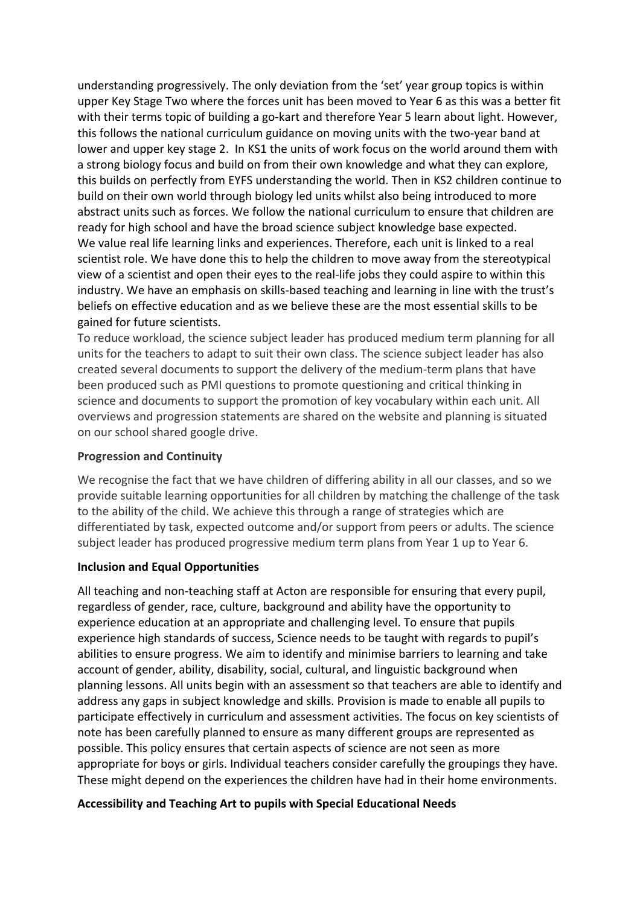understanding progressively. The only deviation from the 'set' year group topics is within upper Key Stage Two where the forces unit has been moved to Year 6 as this was a better fit with their terms topic of building a go-kart and therefore Year 5 learn about light. However, this follows the national curriculum guidance on moving units with the two-year band at lower and upper key stage 2. In KS1 the units of work focus on the world around them with a strong biology focus and build on from their own knowledge and what they can explore, this builds on perfectly from EYFS understanding the world. Then in KS2 children continue to build on their own world through biology led units whilst also being introduced to more abstract units such as forces. We follow the national curriculum to ensure that children are ready for high school and have the broad science subject knowledge base expected. We value real life learning links and experiences. Therefore, each unit is linked to a real scientist role. We have done this to help the children to move away from the stereotypical view of a scientist and open their eyes to the real-life jobs they could aspire to within this industry. We have an emphasis on skills-based teaching and learning in line with the trust's beliefs on effective education and as we believe these are the most essential skills to be gained for future scientists.

To reduce workload, the science subject leader has produced medium term planning for all units for the teachers to adapt to suit their own class. The science subject leader has also created several documents to support the delivery of the medium-term plans that have been produced such as PMI questions to promote questioning and critical thinking in science and documents to support the promotion of key vocabulary within each unit. All overviews and progression statements are shared on the website and planning is situated on our school shared google drive.

## **Progression and Continuity**

We recognise the fact that we have children of differing ability in all our classes, and so we provide suitable learning opportunities for all children by matching the challenge of the task to the ability of the child. We achieve this through a range of strategies which are differentiated by task, expected outcome and/or support from peers or adults. The science subject leader has produced progressive medium term plans from Year 1 up to Year 6.

# **Inclusion and Equal Opportunities**

All teaching and non-teaching staff at Acton are responsible for ensuring that every pupil, regardless of gender, race, culture, background and ability have the opportunity to experience education at an appropriate and challenging level. To ensure that pupils experience high standards of success, Science needs to be taught with regards to pupil's abilities to ensure progress. We aim to identify and minimise barriers to learning and take account of gender, ability, disability, social, cultural, and linguistic background when planning lessons. All units begin with an assessment so that teachers are able to identify and address any gaps in subject knowledge and skills. Provision is made to enable all pupils to participate effectively in curriculum and assessment activities. The focus on key scientists of note has been carefully planned to ensure as many different groups are represented as possible. This policy ensures that certain aspects of science are not seen as more appropriate for boys or girls. Individual teachers consider carefully the groupings they have. These might depend on the experiences the children have had in their home environments.

#### **Accessibility and Teaching Art to pupils with Special Educational Needs**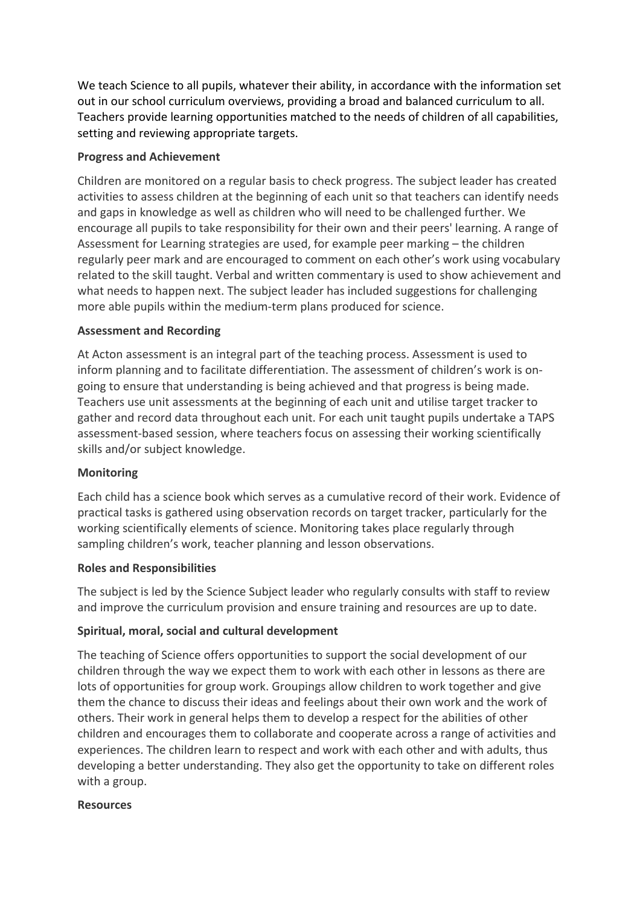We teach Science to all pupils, whatever their ability, in accordance with the information set out in our school curriculum overviews, providing a broad and balanced curriculum to all. Teachers provide learning opportunities matched to the needs of children of all capabilities, setting and reviewing appropriate targets.

# **Progress and Achievement**

Children are monitored on a regular basis to check progress. The subject leader has created activities to assess children at the beginning of each unit so that teachers can identify needs and gaps in knowledge as well as children who will need to be challenged further. We encourage all pupils to take responsibility for their own and their peers' learning. A range of Assessment for Learning strategies are used, for example peer marking – the children regularly peer mark and are encouraged to comment on each other's work using vocabulary related to the skill taught. Verbal and written commentary is used to show achievement and what needs to happen next. The subject leader has included suggestions for challenging more able pupils within the medium-term plans produced for science.

# **Assessment and Recording**

At Acton assessment is an integral part of the teaching process. Assessment is used to inform planning and to facilitate differentiation. The assessment of children's work is ongoing to ensure that understanding is being achieved and that progress is being made. Teachers use unit assessments at the beginning of each unit and utilise target tracker to gather and record data throughout each unit. For each unit taught pupils undertake a TAPS assessment-based session, where teachers focus on assessing their working scientifically skills and/or subject knowledge.

# **Monitoring**

Each child has a science book which serves as a cumulative record of their work. Evidence of practical tasks is gathered using observation records on target tracker, particularly for the working scientifically elements of science. Monitoring takes place regularly through sampling children's work, teacher planning and lesson observations.

#### **Roles and Responsibilities**

The subject is led by the Science Subject leader who regularly consults with staff to review and improve the curriculum provision and ensure training and resources are up to date.

# **Spiritual, moral, social and cultural development**

The teaching of Science offers opportunities to support the social development of our children through the way we expect them to work with each other in lessons as there are lots of opportunities for group work. Groupings allow children to work together and give them the chance to discuss their ideas and feelings about their own work and the work of others. Their work in general helps them to develop a respect for the abilities of other children and encourages them to collaborate and cooperate across a range of activities and experiences. The children learn to respect and work with each other and with adults, thus developing a better understanding. They also get the opportunity to take on different roles with a group.

#### **Resources**